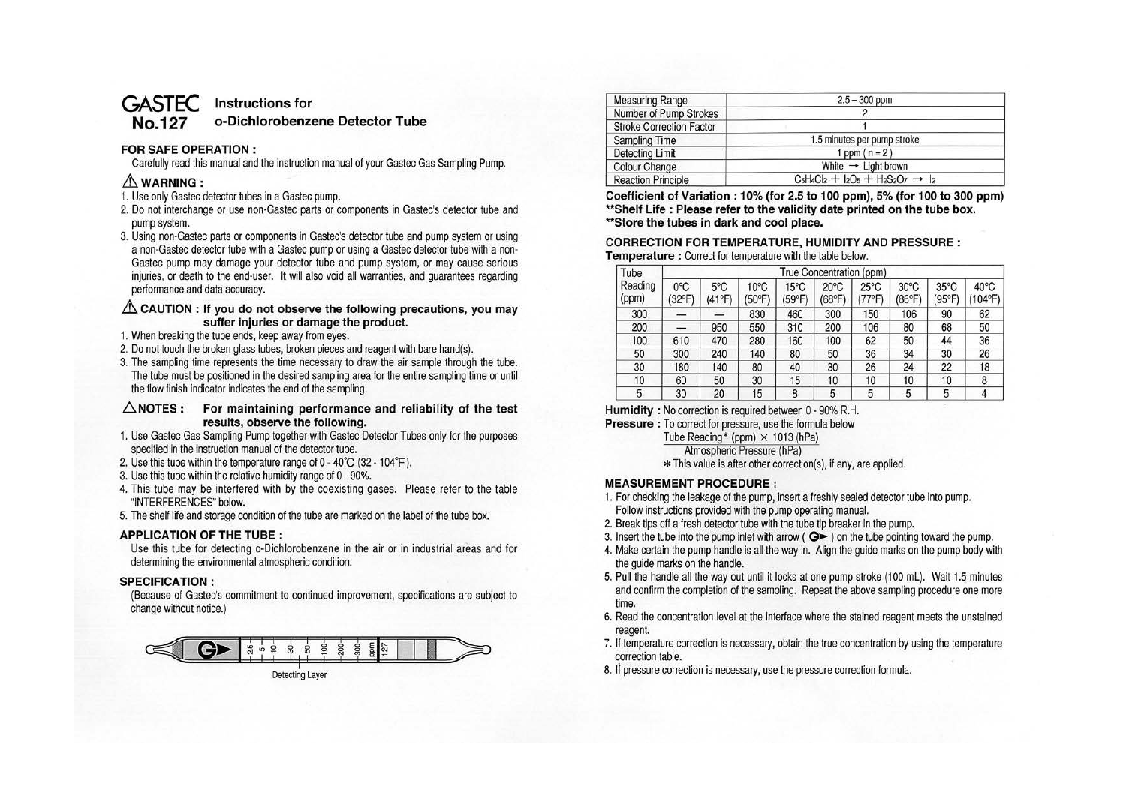# **GASTEC Instructions for**

# **No.127 o-Dichlorobenzene Detector Tube**

# **FOR SAFE OPERATION** :

Carefully read this manual and the instruction manual of your Gastec Gas Sampling Pump.

# $\triangle$  WARNING :

- 1. Use only Gastec detector tubes in a Gastec pump.
- 2. Do not interchange or use non-Gastec parts or components in Gastec's detector tube and pump system.
- 3. Using non-Gastec parts or components in Gastec's detector tube and pump system or using a non-Gastec detector tube with a Gastec pump or using a Gastec detector tube with a non-Gastec pump may damage your detector tube and pump system, or may cause serious injuries, or death to the end-user. It will also void all warranties, and guarantees regarding performance and data accuracy.

## $\triangle$  CAUTION : If you do not observe the following precautions, you may **suffer injuries or damage the product.**

- 1. When breaking the tube ends, keep away from eyes.
- 2. Do not touch the broken glass tubes, broken pieces and reagent with bare hand(s).
- 3. The sampling time represents the time necessary to draw the air sample through the tube. The tube must be positioned in the desired sampling area for the entire sampling time or until the flow finish indicator indicates the end of the sampling.

## **6.NOTES: For maintaining performance and reliability of the test results, observe the following.**

- 1. Use Gastec Gas Sampling Pump together with Gastec Detector Tubes only for the purposes specified in the instruction manual of the detector tube.
- 2. Use this tube within the temperature range of O 40°C (32-104°F).
- 3. Use this tube within the relative humidity range of O 90%.
- 4. This tube may be interfered with by the coexisting gases. Please refer to the table "INTERFERENCES" below.
- 5. The shelf life and storage condition of the tube are marked on the label of the tube box.

## **APPLICATION OF THE TUBE:**

Use this tube for detecting o-Dichlorobenzene in the air or in industrial areas and for determining the environmental atmospheric condition.

## **SPECIFICATION:**

(Because of Gastec's commitment to continued improvement, specifications are subject to change without notice.)



| <b>Measuring Range</b>          | $2.5 - 300$ ppm                                   |  |  |
|---------------------------------|---------------------------------------------------|--|--|
| Number of Pump Strokes          |                                                   |  |  |
| <b>Stroke Correction Factor</b> |                                                   |  |  |
| <b>Sampling Time</b>            | 1.5 minutes per pump stroke                       |  |  |
| <b>Detecting Limit</b>          | 1 ppm $(n = 2)$                                   |  |  |
| <b>Colour Change</b>            | White $\rightarrow$ Light brown                   |  |  |
| <b>Reaction Principle</b>       | $C_6H_4Cl_2 + I_2O_5 + H_2S_2O_7 \rightarrow I_2$ |  |  |

**Coefficient of Variation : 10% (for 2.5 to 100 ppm), 5% (for 100 to 300 ppm) \*\*Shelf Life : Please refer to the validity date printed on the tube box. ••store the tubes in dark and cool place.** 

## **CORRECTION FOR TEMPERATURE, HUMIDITY AND PRESSURE: Temperature** : Correct for temperature with the table below.

| Tube<br>Reading<br>(ppm) | True Concentration (ppm) |                         |                          |                          |                          |                                   |                          |                          |                           |
|--------------------------|--------------------------|-------------------------|--------------------------|--------------------------|--------------------------|-----------------------------------|--------------------------|--------------------------|---------------------------|
|                          | $0^{\circ}$ C<br>(32°F)  | $5^{\circ}$ C<br>(41°F) | $10^{\circ}$ C<br>(50°F) | $15^{\circ}$ C<br>(59°F) | $20^{\circ}$ C<br>(68°F) | $25^{\circ}$ C<br>$(77^{\circ}F)$ | $30^{\circ}$ C<br>(86°F) | $35^{\circ}$ C<br>'95°F) | $40^{\circ}$ C<br>(104°F) |
| 300                      |                          |                         | 830                      | 460                      | 300                      | 150                               | 106                      | 90                       | 62                        |
| 200                      | -                        | 950                     | 550                      | 310                      | 200                      | 106                               | 80                       | 68                       | 50                        |
| 100                      | 610                      | 470                     | 280                      | 160                      | 100                      | 62                                | 50                       | 44                       | 36                        |
| 50                       | 300                      | 240                     | 140                      | 80                       | 50                       | 36                                | 34                       | 30                       | 26                        |
| 30                       | 180                      | 140                     | 80                       | 40                       | 30                       | 26                                | 24                       | 22                       | 18                        |
| 10                       | 60                       | 50                      | 30                       | 15                       | 10                       | 10                                | 10                       | 10                       | 8                         |
| 5                        | 30                       | 20                      | 15                       | 8                        | 5                        | 5                                 | 5                        | 5                        | 4                         |

**Humidity** : No correction is required between O - 90% R.H.

**Pressure** : To correct for pressure, use the formula below

Tube Reading\* (ppm)  $\times$  1013 (hPa)

Atmospheric Pressure (hPa)

\* This value is after other correction(s), if any, are applied.

# **MEASUREMENT PROCEDURE:**

- 1. For checking the leakage of the pump, insert a freshly sealed detector tube into pump. Follow instructions provided with the pump operating manual.
- 2. Break tips off a fresh detector tube with the tube tip breaker in the pump.
- 3. Insert the tube into the pump inlet with arrow ( $\bigcirc$  ) on the tube pointing toward the pump.
- 4. Make certain the pump handle is all the way in. Align the guide marks on the pump body with the guide marks on the handle.
- 5. Pull the handle all the way out until it locks at one pump stroke (100 ml). Wait 1.5 minutes and confirm the completion of the sampling. Repeat the above sampling procedure one more time.
- 6. Read the concentration level at the interlace where the stained reagent meets the unstained reagent.
- 7. If temperature correction is necessary, obtain the true concentration by using the temperature correction table.
- 8. If pressure correction is necessary, use the pressure correction formula.